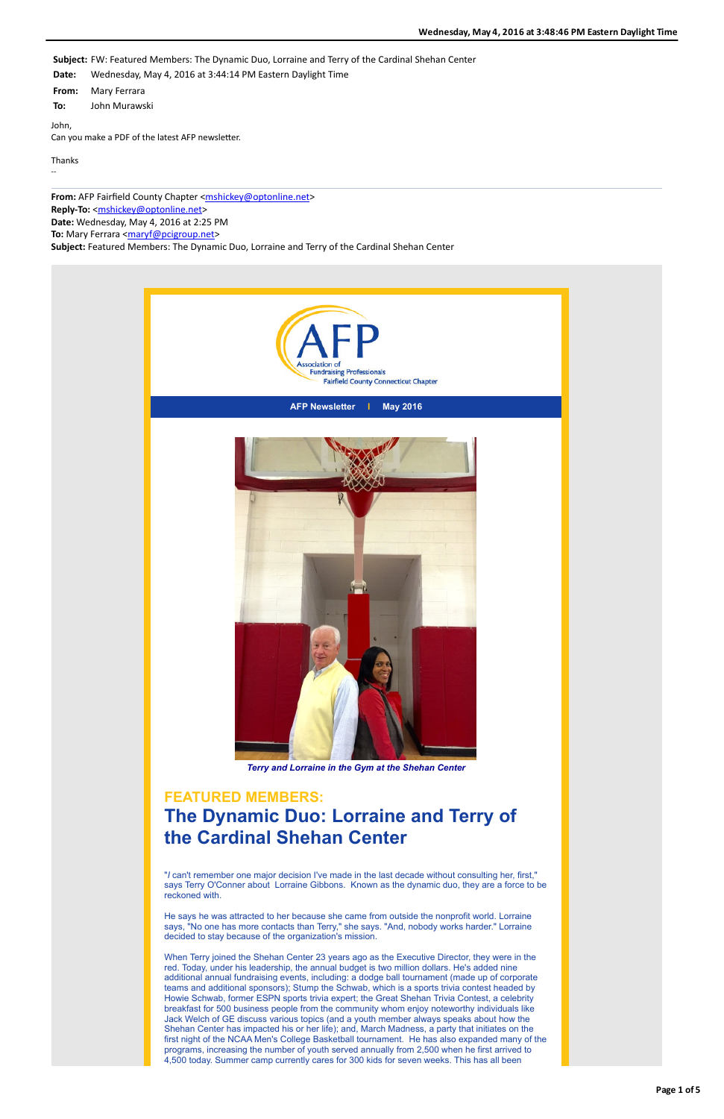

**AFP Newsletter I May 2016**



*Terry and Lorraine in the Gym at the Shehan Center*

#### **FEATURED MEMBERS:**

## **The Dynamic Duo: Lorraine and Terry of the Cardinal Shehan Center**

"*I* can't remember one major decision I've made in the last decade without consulting her, first," says Terry O'Conner about Lorraine Gibbons. Known as the dynamic duo, they are a force to be reckoned with.

He says he was attracted to her because she came from outside the nonprofit world. Lorraine says, "No one has more contacts than Terry," she says. "And, nobody works harder." Lorraine decided to stay because of the organization's mission.

When Terry joined the Shehan Center 23 years ago as the Executive Director, they were in the red. Today, under his leadership, the annual budget is two million dollars. He's added nine additional annual fundraising events, including: a dodge ball tournament (made up of corporate teams and additional sponsors); Stump the Schwab, which is a sports trivia contest headed by Howie Schwab, former ESPN sports trivia expert; the Great Shehan Trivia Contest, a celebrity breakfast for 500 business people from the community whom enjoy noteworthy individuals like Jack Welch of GE discuss various topics (and a youth member always speaks about how the Shehan Center has impacted his or her life); and, March Madness, a party that initiates on the first night of the NCAA Men's College Basketball tournament. He has also expanded many of the programs, increasing the number of youth served annually from 2,500 when he first arrived to 4,500 today. Summer camp currently cares for 300 kids for seven weeks. This has all been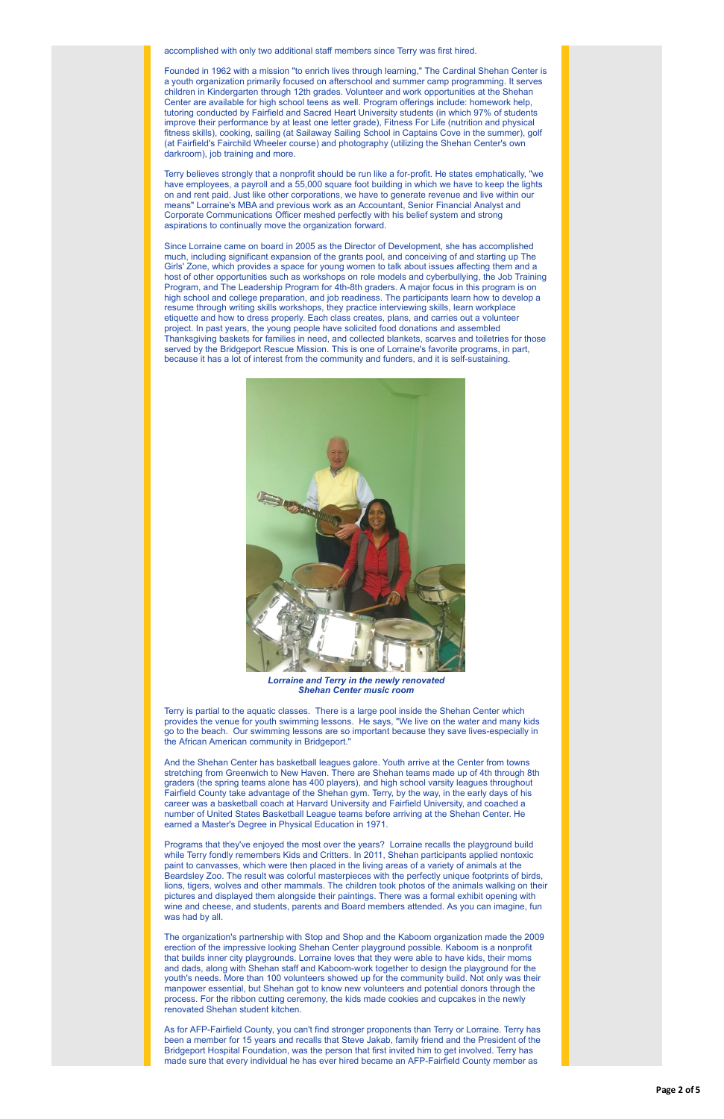accomplished with only two additional staff members since Terry was first hired.

Founded in 1962 with a mission "to enrich lives through learning," The Cardinal Shehan Center is a youth organization primarily focused on afterschool and summer camp programming. It serves children in Kindergarten through 12th grades. Volunteer and work opportunities at the Shehan Center are available for high school teens as well. Program offerings include: homework help, tutoring conducted by Fairfield and Sacred Heart University students (in which 97% of students improve their performance by at least one letter grade), Fitness For Life (nutrition and physical fitness skills), cooking, sailing (at Sailaway Sailing School in Captains Cove in the summer), golf (at Fairfield's Fairchild Wheeler course) and photography (utilizing the Shehan Center's own darkroom), job training and more.

Terry believes strongly that a nonprofit should be run like a for-profit. He states emphatically, "we have employees, a payroll and a 55,000 square foot building in which we have to keep the lights on and rent paid. Just like other corporations, we have to generate revenue and live within our means" Lorraine's MBA and previous work as an Accountant, Senior Financial Analyst and Corporate Communications Officer meshed perfectly with his belief system and strong aspirations to continually move the organization forward.

Since Lorraine came on board in 2005 as the Director of Development, she has accomplished much, including significant expansion of the grants pool, and conceiving of and starting up The Girls' Zone, which provides a space for young women to talk about issues affecting them and a host of other opportunities such as workshops on role models and cyberbullying, the Job Training Program, and The Leadership Program for 4th-8th graders. A major focus in this program is on high school and college preparation, and job readiness. The participants learn how to develop a resume through writing skills workshops, they practice interviewing skills, learn workplace etiquette and how to dress properly. Each class creates, plans, and carries out a volunteer project. In past years, the young people have solicited food donations and assembled Thanksgiving baskets for families in need, and collected blankets, scarves and toiletries for those served by the Bridgeport Rescue Mission. This is one of Lorraine's favorite programs, in part, because it has a lot of interest from the community and funders, and it is self-sustaining.



*Lorraine and Terry in the newly renovated Shehan Center music room*

Terry is partial to the aquatic classes. There is a large pool inside the Shehan Center which provides the venue for youth swimming lessons. He says, "We live on the water and many kids go to the beach. Our swimming lessons are so important because they save lives-especially in the African American community in Bridgeport."

And the Shehan Center has basketball leagues galore. Youth arrive at the Center from towns stretching from Greenwich to New Haven. There are Shehan teams made up of 4th through 8th graders (the spring teams alone has 400 players), and high school varsity leagues throughout Fairfield County take advantage of the Shehan gym. Terry, by the way, in the early days of his career was a basketball coach at Harvard University and Fairfield University, and coached a number of United States Basketball League teams before arriving at the Shehan Center. He

earned a Master's Degree in Physical Education in 1971.

Programs that they've enjoyed the most over the years? Lorraine recalls the playground build while Terry fondly remembers Kids and Critters. In 2011, Shehan participants applied nontoxic paint to canvasses, which were then placed in the living areas of a variety of animals at the Beardsley Zoo. The result was colorful masterpieces with the perfectly unique footprints of birds, lions, tigers, wolves and other mammals. The children took photos of the animals walking on their pictures and displayed them alongside their paintings. There was a formal exhibit opening with wine and cheese, and students, parents and Board members attended. As you can imagine, fun was had by all.

The organization's partnership with Stop and Shop and the Kaboom organization made the 2009 erection of the impressive looking Shehan Center playground possible. Kaboom is a nonprofit that builds inner city playgrounds. Lorraine loves that they were able to have kids, their moms and dads, along with Shehan staff and Kaboom-work together to design the playground for the youth's needs. More than 100 volunteers showed up for the community build. Not only was their manpower essential, but Shehan got to know new volunteers and potential donors through the process. For the ribbon cutting ceremony, the kids made cookies and cupcakes in the newly renovated Shehan student kitchen.

As for AFP-Fairfield County, you can't find stronger proponents than Terry or Lorraine. Terry has been a member for 15 years and recalls that Steve Jakab, family friend and the President of the Bridgeport Hospital Foundation, was the person that first invited him to get involved. Terry has made sure that every individual he has ever hired became an AFP-Fairfield County member as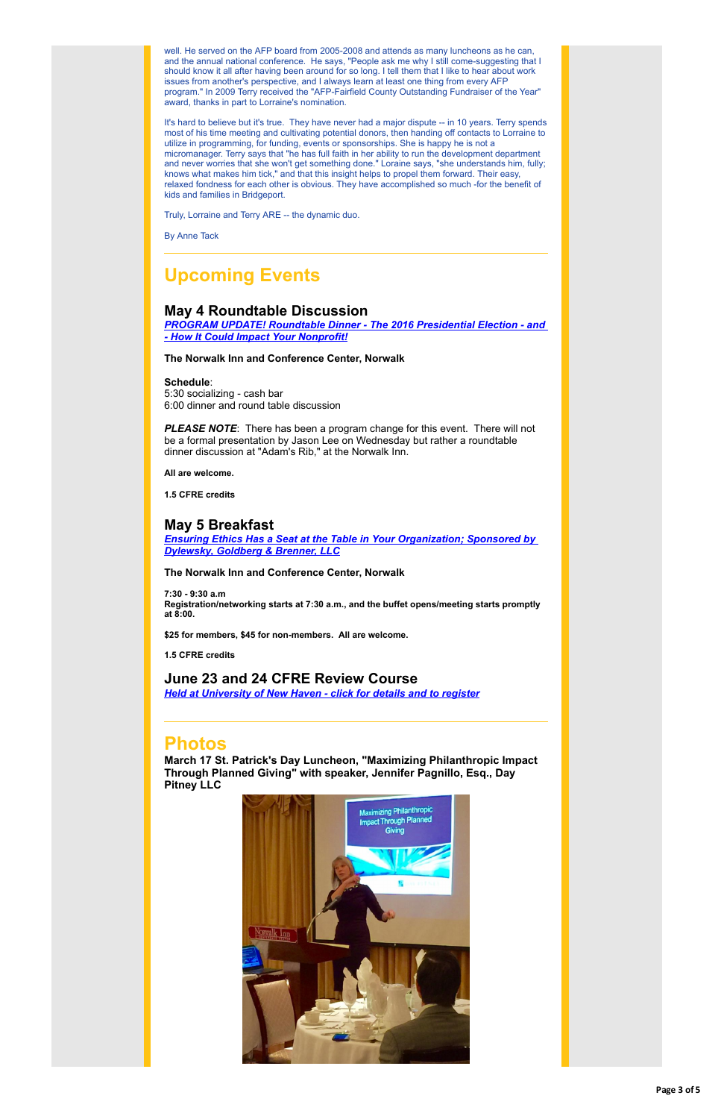well. He served on the AFP board from 2005-2008 and attends as many luncheons as he can, and the annual national conference. He says, "People ask me why I still come-suggesting that I should know it all after having been around for so long. I tell them that I like to hear about work issues from another's perspective, and I always learn at least one thing from every AFP program." In 2009 Terry received the "AFP-Fairfield County Outstanding Fundraiser of the Year" award, thanks in part to Lorraine's nomination.

It's hard to believe but it's true. They have never had a major dispute -- in 10 years. Terry spends most of his time meeting and cultivating potential donors, then handing off contacts to Lorraine to utilize in programming, for funding, events or sponsorships. She is happy he is not a micromanager. Terry says that "he has full faith in her ability to run the development department and never worries that she won't get something done." Loraine says, "she understands him, fully; knows what makes him tick," and that this insight helps to propel them forward. Their easy, relaxed fondness for each other is obvious. They have accomplished so much -for the benefit of kids and families in Bridgeport.

**PLEASE NOTE:** There has been a program change for this event. There will not be a formal presentation by Jason Lee on Wednesday but rather a roundtable dinner discussion at "Adam's Rib," at the Norwalk Inn.

Truly, Lorraine and Terry ARE -- the dynamic duo.

By Anne Tack

## **Upcoming Events**

#### **May 4 Roundtable Discussion**

*[PROGRAM UPDATE! Roundtable Dinner - The 2016 Presidential Election - and](http://r20.rs6.net/tn.jsp?f=001OEGZw1riktyANnJilWVcTMvRz1FaFa_cKXNnZ99pXuEZ4blfqwLswAvibWhaARd_o7KNBVQ3Ao1UdgfPaN0gPRAaLSpxDPYcWtXCmCtZTV2AThg2RIkxdRL9WqiyU8rR90l1Qdg8aRs7fo-8mJsj73FA28uYDuR1_WRRcBvjxenFI6yLHQkBwYJ1iwnozeSyBr5LmLjg81879GrMQMLNvaKiQu2YdWYtpXrIJ7ro06fT8AoTXtEHbJ2HUKHIR5VEr3uRur3SwW2a8O4zdbkung==&c=K3_LXraDiqugqcllFISFr0ksSU6wDxfWeZ0Ezf05ViXuTtis0Co2cw==&ch=1j8fyVL12auNddJg44JDIDjN9NBwsNySXYoXI-Tovkm5qzG9dWcQtg==) - How It Could Impact Your Nonprofit!*

**The Norwalk Inn and Conference Center, Norwalk**

#### **Schedule**:

5:30 socializing - cash bar 6:00 dinner and round table discussion

**All are welcome.**

**1.5 CFRE credits**

#### **May 5 Breakfast**

*[Ensuring Ethics Has a Seat at the Table in Your Organization; Sponsored by](http://r20.rs6.net/tn.jsp?f=001OEGZw1riktyANnJilWVcTMvRz1FaFa_cKXNnZ99pXuEZ4blfqwLswCmEa-saXTXQe8erfyQUSAXf653amj2Wqk6hwzNglSAc6fhiV-fRu2_qIWt9hiWEd9RUbOXU9I2bhISv3n1j4CaP7LKQI8zKlVNgtAQpmPdBOFwdjAp2BxF8R7rPxCINahfMTOJNTAQ9gLfPL6CCA1t9n8Lv8_XZwyb1ax44Gy93Mf5uRFy7mLzGyWYrB7wJkSx0itTFUpgw7euYBObs4UDBnBuoz6AFxD3_43srGMCBqdMCkc5KKv2yJPFSoq9FbNMUm5o4ZVkYofaY9qdOYghH80O2XGowmA==&c=K3_LXraDiqugqcllFISFr0ksSU6wDxfWeZ0Ezf05ViXuTtis0Co2cw==&ch=1j8fyVL12auNddJg44JDIDjN9NBwsNySXYoXI-Tovkm5qzG9dWcQtg==) Dylewsky, Goldberg & Brenner, LLC*

**The Norwalk Inn and Conference Center, Norwalk**

**7:30 - 9:30 a.m Registration/networking starts at 7:30 a.m., and the buffet opens/meeting starts promptly at 8:00.**

**\$25 for members, \$45 for non-members. All are welcome.**

**1.5 CFRE credits**

#### **June 23 and 24 CFRE Review Course**

*[Held at University of New Haven - click for details and to register](http://r20.rs6.net/tn.jsp?f=001OEGZw1riktyANnJilWVcTMvRz1FaFa_cKXNnZ99pXuEZ4blfqwLswJTF2Qv4ETISWgq1pmtHJF0RLLz8-9EIZM_9m3ZzyZvwzLEngr0SVMEZxMHLWNJ7jkmz3xOKMnzgoRTDdFQi-BN-DfuM_HAd6JlTvrTU919b49irtbizEYFVs6pm0metKXxnJK-ebGS2ny2QfZa_Q4lDyt2071x5gUH-LeHsl6Wvzfj_wYNGu8k=&c=K3_LXraDiqugqcllFISFr0ksSU6wDxfWeZ0Ezf05ViXuTtis0Co2cw==&ch=1j8fyVL12auNddJg44JDIDjN9NBwsNySXYoXI-Tovkm5qzG9dWcQtg==)*

### **Photos**

**March 17 St. Patrick's Day Luncheon, "Maximizing Philanthropic Impact Through Planned Giving" with speaker, Jennifer Pagnillo, Esq., Day Pitney LLC**

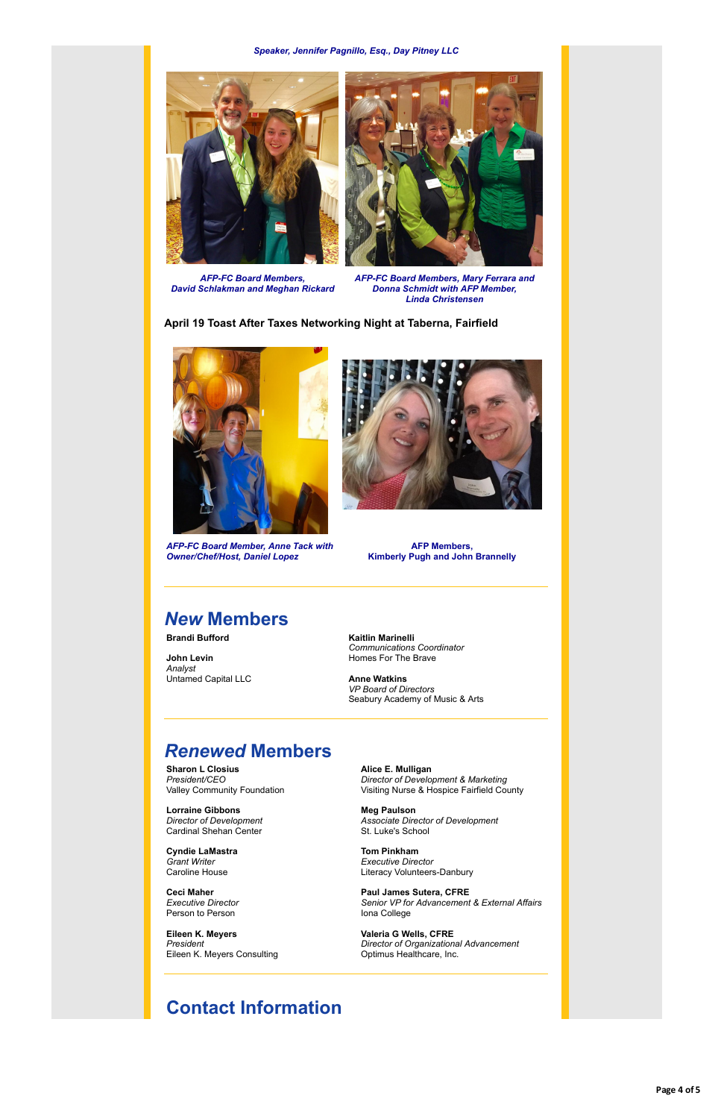*Speaker, Jennifer Pagnillo, Esq., Day Pitney LLC*



*AFP-FC Board Members, David Schlakman and Meghan Rickard*



*AFP-FC Board Members, Mary Ferrara and Donna Schmidt with AFP Member, Linda Christensen*

**April 19 Toast After Taxes Networking Night at Taberna, Fairfield**



*AFP-FC Board Member, Anne Tack with Owner/Chef/Host, Daniel Lopez*



**AFP Members, Kimberly Pugh and John Brannelly**

# *New* **Members**

**Brandi Bufford**

**John Levin** *Analyst* Untamed Capital LLC **Kaitlin Marinelli** *Communications Coordinator* Homes For The Brave

**Anne Watkins** *VP Board of Directors* Seabury Academy of Music & Arts

## *Renewed* **Members**

**Sharon L Closius** *President/CEO* Valley Community Foundation

**Lorraine Gibbons** *Director of Development*

Cardinal Shehan Center

**Cyndie LaMastra** *Grant Writer* Caroline House

**Ceci Maher** *Executive Director* Person to Person

**Eileen K. Meyers** *President* Eileen K. Meyers Consulting **Alice E. Mulligan** *Director of Development & Marketing* Visiting Nurse & Hospice Fairfield County

**Meg Paulson** *Associate Director of Development*

St. Luke's School

**Tom Pinkham** *Executive Director* Literacy Volunteers-Danbury

**Paul James Sutera, CFRE** *Senior VP for Advancement & External Affairs* Iona College

**Valeria G Wells, CFRE** *Director of Organizational Advancement* Optimus Healthcare, Inc.

### **Contact Information**